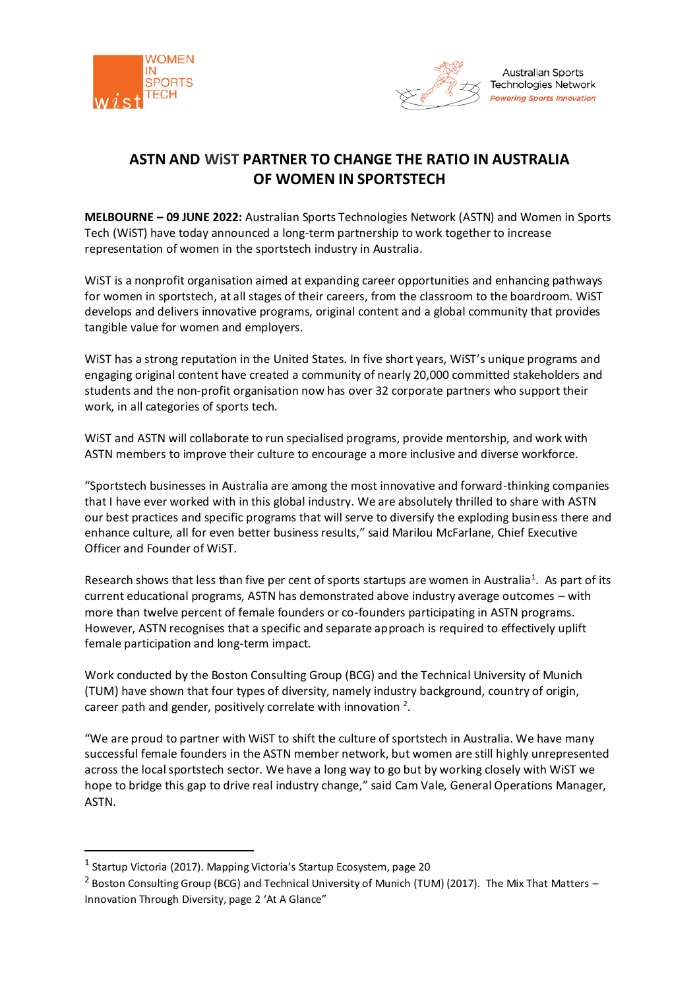



# **ASTN AND WiST PARTNER TO CHANGE THE RATIO IN AUSTRALIA OF WOMEN IN SPORTSTECH**

**MELBOURNE – 09 JUNE 2022:** Australian Sports Technologies Network (ASTN) and Women in Sports Tech (WiST) have today announced a long-term partnership to work together to increase representation of women in the sportstech industry in Australia.

WiST is a nonprofit organisation aimed at expanding career opportunities and enhancing pathways for women in sportstech, at all stages of their careers, from the classroom to the boardroom. WiST develops and delivers innovative programs, original content and a global community that provides tangible value for women and employers.

WiST has a strong reputation in the United States. In five short years, WiST's unique programs and engaging original content have created a community of nearly 20,000 committed stakeholders and students and the non-profit organisation now has over 32 corporate partners who support their work, in all categories of sports tech.

WiST and ASTN will collaborate to run specialised programs, provide mentorship, and work with ASTN members to improve their culture to encourage a more inclusive and diverse workforce.

"Sportstech businesses in Australia are among the most innovative and forward-thinking companies that I have ever worked with in this global industry. We are absolutely thrilled to share with ASTN our best practices and specific programs that will serve to diversify the exploding business there and enhance culture, all for even better business results," said Marilou McFarlane, Chief Executive Officer and Founder of WiST.

Research shows that less than five per cent of sports startups are women in Australia<sup>1</sup>. As part of its current educational programs, ASTN has demonstrated above industry average outcomes – with more than twelve percent of female founders or co-founders participating in ASTN programs. However, ASTN recognises that a specific and separate approach is required to effectively uplift female participation and long-term impact.

Work conducted by the Boston Consulting Group (BCG) and the Technical University of Munich (TUM) have shown that four types of diversity, namely industry background, country of origin, career path and gender, positively correlate with innovation  $2$ .

"We are proud to partner with WiST to shift the culture of sportstech in Australia. We have many successful female founders in the ASTN member network, but women are still highly unrepresented across the local sportstech sector. We have a long way to go but by working closely with WiST we hope to bridge this gap to drive real industry change," said Cam Vale, General Operations Manager, ASTN.

<sup>&</sup>lt;sup>1</sup> Startup Victoria (2017). Mapping Victoria's Startup Ecosystem, page 20

<sup>&</sup>lt;sup>2</sup> Boston Consulting Group (BCG) and Technical University of Munich (TUM) (2017). The Mix That Matters -Innovation Through Diversity, page 2 'At A Glance"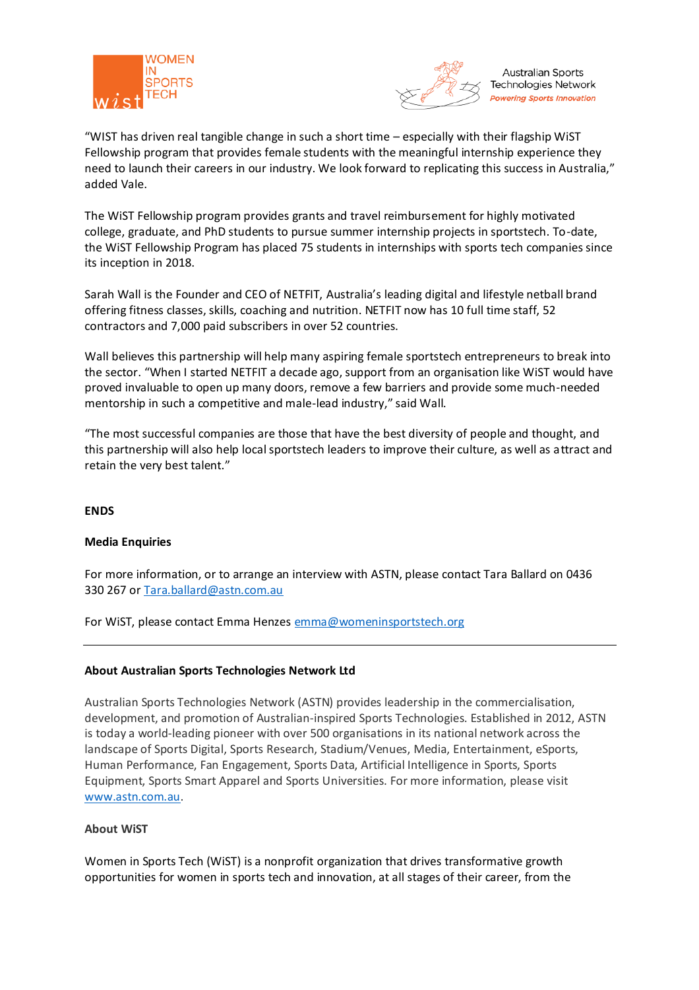



**Australian Sports** Technologies Network **Powering Sports Innovation** 

"WIST has driven real tangible change in such a short time – especially with their flagship WiST Fellowship program that provides female students with the meaningful internship experience they need to launch their careers in our industry. We look forward to replicating this success in Australia," added Vale.

The WiST Fellowship program provides grants and travel reimbursement for highly motivated college, graduate, and PhD students to pursue summer internship projects in sportstech. To-date, the WiST Fellowship Program has placed 75 students in internships with sports tech companies since its inception in 2018.

Sarah Wall is the Founder and CEO of NETFIT, Australia's leading digital and lifestyle netball brand offering fitness classes, skills, coaching and nutrition. NETFIT now has 10 full time staff, 52 contractors and 7,000 paid subscribers in over 52 countries.

Wall believes this partnership will help many aspiring female sportstech entrepreneurs to break into the sector. "When I started NETFIT a decade ago, support from an organisation like WiST would have proved invaluable to open up many doors, remove a few barriers and provide some much-needed mentorship in such a competitive and male-lead industry," said Wall.

"The most successful companies are those that have the best diversity of people and thought, and this partnership will also help local sportstech leaders to improve their culture, as well as attract and retain the very best talent."

## **ENDS**

## **Media Enquiries**

For more information, or to arrange an interview with ASTN, please contact Tara Ballard on 0436 330 267 or [Tara.ballard@astn.com.au](mailto:Tara.ballard@astn.com.au) 

For WIST, please contact Emma Henzes [emma@womeninsportstech.org](mailto:emma@womeninsportstech.org)

## **About Australian Sports Technologies Network Ltd**

Australian Sports Technologies Network (ASTN) provides leadership in the commercialisation, development, and promotion of Australian-inspired Sports Technologies. Established in 2012, ASTN is today a world-leading pioneer with over 500 organisations in its national network across the landscape of Sports Digital, Sports Research, Stadium/Venues, Media, Entertainment, eSports, Human Performance, Fan Engagement, Sports Data, Artificial Intelligence in Sports, Sports Equipment, Sports Smart Apparel and Sports Universities. For more information, please visit [www.astn.com.au.](http://www.astn.com.au/)

### **About WiST**

Women in Sports Tech (WiST) is a nonprofit organization that drives transformative growth opportunities for women in sports tech and innovation, at all stages of their career, from the